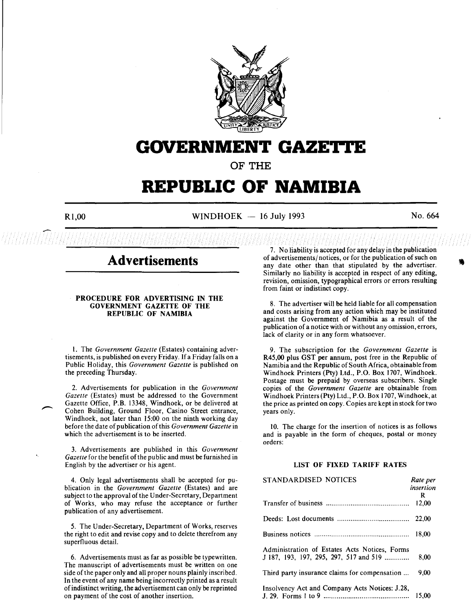

# **GOVERNMENT GAZETTE**

**OF THE** 

# **REPUBLIC OF NAMIBIA**

 $R1,00$  WINDHOEK - 16 July 1993 No. 664

# **Advertisements**

# PROCEDURE FOR ADVERTISING IN THE GOVERNMENT GAZETTE OF THE REPUBLIC OF NAMIBIA

I. The *Government Gazette* (Estates) containing advertisements, is published on every Friday. If a Friday falls on a Public Holiday, this *Government Gazette* is published on the preceding Thursday.

2. Advertisements for publication in the *Government Gazette* (Estates) must be addressed to the Government Gazette Office, P.B. 13348, Windhoek, or be delivered at Cohen Building, Ground Floor, Casino Street entrance, Windhoek, not later than 15:00 on the ninth working day before the date of publication of this *Government Gazette* in which the advertisement is to be inserted.

3. Advertisements are published in this *Government*  Gazette for the benefit of the public and must be furnished in English by the advertiser or his agent.

4. Only legal advertisements shall be accepted for publication in the *Government Gazette* (Estates) and are subject to the approval of the Under-Secretary, Department of Works, who may refuse the acceptance or further publication of any advertisement.

5. The Under-Secretary, Department of Works, reserves the right to edit and revise copy and to delete therefrom any superfluous detail.

6. Advertisements must as far as possible be typewritten. The manuscript of advertisements must be written on one side of the paper only and all proper nouns plainly inscribed. In the event of any name being incorrectly printed as a result of indistinct writing, the advertisement can only be reprinted on payment of the cost of another insertion.

7. No liability is accepted for any delay in the publication of advertisements/ notices, or for the publication of such on any date other than that stipulated by the advertiser. Similarly no liability is accepted in respect of any editing, revision, omission, typographical errors or errors resulting from faint or indistinct copy.

8. The advertiser will be held liable for all compensation and costs arising from any action which may be instituted against the Government of Namibia as a result of the publication of a notice with or without any omission, errors, lack of clarity or in any form whatsoever.

9. The subscription for the *Government Gazette* is R45,00 plus GST per annum, post free in the Republic of Namibia and the Republic of South Africa, obtainable from Windhoek Printers (Pty) Ltd., P.O. Box 1707, Windhoek. Postage must be prepaid by overseas subscribers. Single copies of the *Government Gazette* are obtainable from Windhoek Printers (Pty) Ltd., P.O. Box 1707, Windhoek, at the price as printed on copy. Copies are kept in stock for two years only.

10. The charge for the insertion of notices is as follows and is payable in the form of cheques, postal or money orders:

# LIST OF FIXED TARIFF RATES

| STANDARDISED NOTICES                                                                      | Rate per<br>insertion<br>R |
|-------------------------------------------------------------------------------------------|----------------------------|
|                                                                                           | 12,00                      |
|                                                                                           | 22,00                      |
|                                                                                           | 18.00                      |
| Administration of Estates Acts Notices, Forms<br>$J$ 187, 193, 197, 295, 297, 517 and 519 | 8.00                       |
| Third party insurance claims for compensation                                             | 9.00                       |
| Insolvency Act and Company Acts Notices: J.28,                                            | 15.00                      |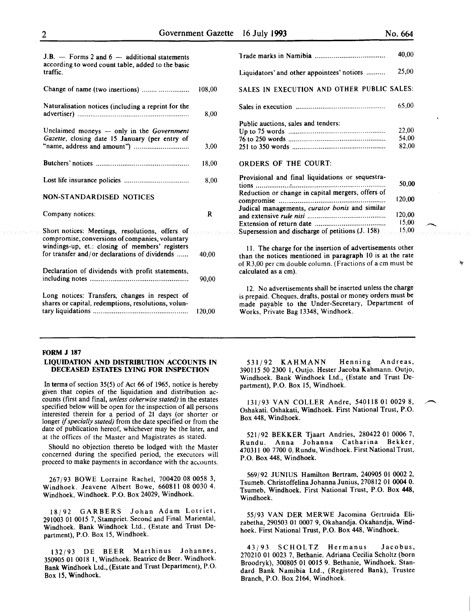--

| $J.B.$ - Forms 2 and 6 - additional statements<br>according to word count table, added to the basic<br>traffic.                                       |        |
|-------------------------------------------------------------------------------------------------------------------------------------------------------|--------|
| Change of name (two insertions)                                                                                                                       | 108,00 |
| Naturalisation notices (including a reprint for the                                                                                                   | 8,00   |
| Unclaimed moneys $-$ only in the Government<br>Gazette, closing date 15 January (per entry of                                                         | 3,00   |
|                                                                                                                                                       | 18,00  |
|                                                                                                                                                       | 8,00   |
| NON-STANDARDISED NOTICES                                                                                                                              |        |
| Company notices:                                                                                                                                      | R      |
| Short notices: Meetings, resolutions, offers of<br>compromise, conversions of companies, voluntary<br>windings-up, et.: closing of members' registers |        |
|                                                                                                                                                       |        |
| for transfer and/or declarations of dividends                                                                                                         | 40.00  |
| Declaration of dividends with profit statements,                                                                                                      | 90.00  |
| Long notices: Transfers, changes in respect of<br>shares or capital, redemptions, resolutions, volun-                                                 | 120,00 |

|                                                   | 40.00  |
|---------------------------------------------------|--------|
| Liquidators' and other appointees' notices        | 25,00  |
| SALES IN EXECUTION AND OTHER PUBLIC SALES:        |        |
|                                                   | 65,00  |
| Public auctions, sales and tenders:               |        |
|                                                   | 22,00  |
|                                                   | 54,00  |
|                                                   | 82,00  |
| <b>ORDERS OF THE COURT:</b>                       |        |
| Provisional and final liquidations or sequestra-  |        |
|                                                   | 50,00  |
| Reduction or change in capital mergers, offers of |        |
|                                                   | 120,00 |
| Judical managements, curator bonis and similar    |        |
|                                                   | 120.00 |
|                                                   | 15,00  |
|                                                   | 15,00  |
| Supersession and discharge of petitions (J. 158)  |        |

II. The charge for the insertion of advertisements other than the notices mentioned in paragraph 10 is at the rate of R3,00 per em double column. (Fractions of a em must be calculated as a em).

12. No advertisements shall be inserted unless the charge is prepaid. Cheques, drafts, postal or money orders must be made payable to the Under-Secretary, Department of Works, Private Bag 13348, Windhoek.

# FORM J 187

### LIQUIDATION AND DISTRIBUTION ACCOUNTS IN DECEASED ESTATES LYING FOR INSPECTION

In terms of section 3S(5) of Act 66 of 1965, notice is hereby given that copies of the liquidation and distribution accounts (first and final, *unless otherwise stated)* in the estates specified below will be open for the inspection of all persons interested therein for a period of 21 days (or shorter or longer if *specially stated)* from the date specified or from the date of publication hereof, whichever may be the later, and at the offices of the Master and Magistrates as stated.

Should no objection thereto be lodged with the Master concerned during the specified period, the executors will proceed to make payments in accordance with the accounts.

267/93 BOWE Lorraine Rachel, 700420 08 0058 3, Windhoek. Jeavene Albert Bowe, 660811 08 0030 4. Windhoek, Windhoek. P.O. Box 24029, Windhoek.

18/92 GARBERS Johan Adam Lotriet, 291003 01 0015 7, Stampriet. Second and Final. Mariental, Windhoek. Bank Windhoek Ltd., (Estate and Trust Department), P.O. Box 15, Windhoek.

132/93 DE BEER Marthinus Johannes, 350905 01 0018 1, Windhoek. Beatrice de Beer. Windhoek. Bank Windhoek Ltd., (Estate and Trust Department}, P.O. Box 15, Windhoek.

531/92 KAHMANN Henning Andreas, 390IIS SO 2300 1, Outjo. Hester Jacoba Kahmann. Outjo, Windhoek. Bank Windhoek Ltd., (Estate and Trust Department), P.O. Box 15, Windhoek.

131/93 VAN COLLER Andre, 540118 OJ 0029 8, ~ Oshakati. Oshakati, Windhoek. First National Trust, P.O. Box 448, Windhoek.

521/92 BEKKER Tjaart Andries, 280422 01 0006 7, Rundu. Anna Johanna Catharina Bekker, 470311 00 7700 0. Rundu, Windhoek. First National Trust, P.O. Box 448, Windhoek.

569/92 JUNIUS Hamilton Bertram, 240905 OJ 0002 2, Tsumeb. Christoffelina Johanna Junius, 270812 01 0004 0. Tsumeb, Windhoek. First National Trust, P.O. Box 448, Windhoek.

55/93 VAN DER MERWE Jacomina Gertruida Elizabetha, 290503 OJ 0007 9, Okahandja. Okahandja, Windhoek. First National Trust, P.O. Box 448, Windhoek.

43/93 SCHOLTZ Hermanus Jacobus, 270210 01 0023 7, Bethanie. Adriana Cecilia Scholtz (born Broodryk), 300805 01 0015 9. Bethanie, Windhoek. Standard Bank Namibia Ltd., (Registered Bank), Trustee Branch, P.O. Box 2164, Windhoek.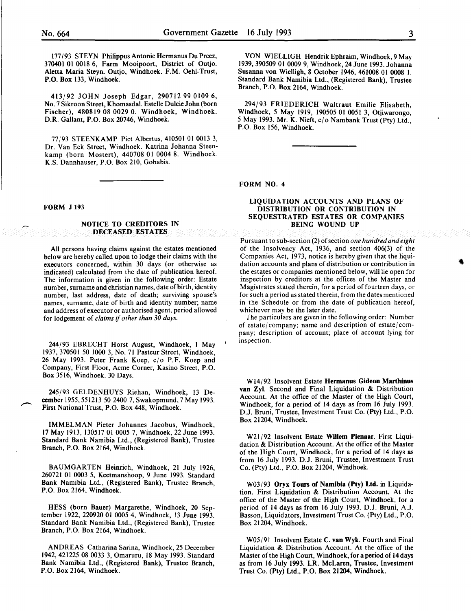177/93 STEYN Philippus Antonie Hermanus Du Preez, 370401 01 0018 6, Farm Mooipoort, District of Outjo. Aletta Maria Steyn. Outjo, Windhoek. F.M. Oehl-Trust, P.O. Box 133, Windhoek.

413/92 JOHN Joseph Edgar, 290712 99 0109 6, No. 7 Sikroon Street, Khomasdal. Estelle Dulcie John (born Fischer), 480819 08 0029 0. Windhoek, Windhoek. D.R. Gallant, P.O. Box 20746, Windhoek.

77/93 STEENKAMP Piet Albertus, 410501 01 0013 3, Dr. Van Eck Street, Windhoek. Katrina Johanna Steenkamp (born Mostert), 440708 01 0004 8. Windhoek. K.S. Dannhauser, P.O. Box 210, Gobabis.

#### FORM J 193

#### NOTICE TO CREDITORS IN DECEASED ESTATES

All persons having claims against the estates mentioned below are hereby called upon to lodge their claims with the executors concerned, within 30 days (or otherwise as indicated) calculated from the date of publication hereof. The information is given in the following order: Estate number, surname and christian names, date of birth, identity number, last address, date of death; surviving spouse's names, surname, date of birth and identity number; name and address of executor or authorised agent, period allowed for lodgement of *claims* if *other than 30 days.* 

244/93 EBRECHT Horst August, Windhoek, I May 1937, 370501 50 1000 3, No. 71 Pasteur Street, Windhoek, 26 May 1993. Peter Frank Koep, c/o P.F. Koep and Company, First Floor, Acme Corner, Kasino Street, P.O. Box 3516, Windhoek. 30 Days.

245/93 GELDENHUYS Riehan, Windhoek, 13 December 1955,551213 50 2400 7, Swakopmund, 7 May 1993. First National Trust, P.O. Box 448, Windhoek.

IMMELMAN Pieter Johannes Jacobus, Windhoek, 17 May 1913, 130517 01 0005 7, Windhoek, 22 June 1993. Standard Bank Namibia Ltd., (Registered Bank), Trustee Branch, P.O. Box 2164, Windhoek.

BAUMGARTEN Heinrich, Windhoek, 21 July 1926, 260721 01 0003 5, Keetmanshoop, 9 June 1993. Standard Bank Namibia Ltd., (Registered Bank), Trustee Branch, P.O. Box 2164, Windhoek.

HESS (born Bauer) Margarethe, Windhoek, 20 September 1922, 220920 01 0005 4, Windhoek, 13 June 1993. Standard Bank Namibia Ltd., (Registered Bank), Trustee Branch, P.O. Box 2164, Windhoek.

ANDREAS Catharina Sarina, Windhoek, 25 December 1942, 421225 08 0033 3, Omaruru, 18 May 1993. Standard Bank Namibia Ltd., (Registered Bank), Trustee Branch, P.O. Box 2164, Windhoek.

VON WIELLIGH Hendrik Ephraim, Windhoek, 9 May 1939, 390509 01 0009 9, Windhoek, 24 June 1993. Johanna Susanna von Wielligh, 8 October 1946, 461008 01 0008 I. Standard Bank Namibia Ltd., (Registered Bank), Trustee Branch, P.O. Box 2164, Windhoek.

294/93 FRIEDERICH Waltraut Emilie Elisabeth, Windhoek, *5* May 1919, 190505 01 0051 3, Otjiwarongo, *5* May 1993. Mr. K. Nieft, cjo Nambank Trust (Pty) Ltd., P.O. Box 156, Windhoek.

FORM NO.4

### LIQUIDATION ACCOUNTS AND PLANS OF DISTRIBUTION OR CONTRIBUTION IN SEQUESTRATED ESTATES OR COMPANIES BEING WOUND UP

Pursuant to sub-section (2) of section *one hundred and eight*  of the Insolvency Act, 1936, and section 406(3) of the Companies Act, 1973, notice is hereby given that the liquidation accounts and plans of distribution or contribution in the estates or companies mentioned below, will lie open for inspection by creditors at the offices of the Master and Magistrates stated therein, for a period of fourteen days, or for such a period as stated therein, from the dates mentioned in the Schedule or from the date of publication hereof, whichever may be the later date.

The particulars are given in the following order: Number of estate/ company; name and description of estate/ company; description of account; place of account lying for inspection.

Wl4/92 Insolvent Estate Hermanus Gideon Marthinus van Zyl. Second and Final Liquidation & Distribution Account. At the office of the Master of the High Court, Windhoek, for a period of 14 days as from 16 July 1993. D.J. Bruni, Trustee, Investment Trust Co. (Pty) Ltd., P.O. Box 21204, Windhoek.

W21/92 Insolvent Estate Willem Pienaar. First Liquidation & Distribution Account. At the office of the Master of the High Court, Windhoek, for a period of 14 days as from 16 July 1993. D.J. Bruni, Trustee, Investment Trust Co. (Pty) Ltd., P.O. Box 21204, Windhoek.

W03/93 Oryx Tours of Namibia (Pty) Ltd. in Liquidation. First Liquidation & Distribution Account. At the office of the Master of the High Court, Windhoek, for a period of 14 days as from 16 July 1993. D.J. Bruni, A.J. Basson, Liquidators, Investment Trust Co. (Pty) Ltd., P.O. Box 21204, Windhoek.

W05/91 Insolvent Estate C. van Wyk. Fourth and Final Liquidation & Distribution Account. At the office of the Master of the High Court, Windhoek, for a period of 14 days as from 16 July 1993. l.R. McLaren, Trustee, Investment Trust Co. (Pty) Ltd., P.O. Box 21204, Windhoek.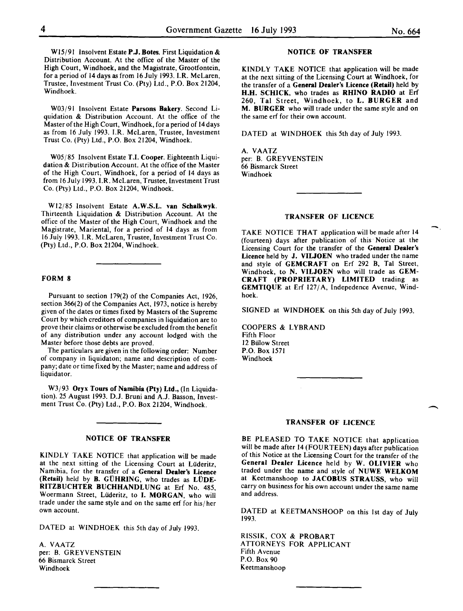W15/91 Insolvent Estate P.J. Botes. First Liquidation & Distribution Account. At the office of the Master of the High Court, Windhoek, and the Magistrate, Grootfontein, for a period of 14 days as from 16 July 1993. I.R. McLaren, Trustee, Investment Trust Co. (Pty) Ltd., P.O. Box 21204, Windhoek.

W03/91 Insolvent Estate Parsons Bakery. Second Liquidation & Distribution Account. At the office of the Master of the High Court, Windhoek, for a period of 14days as from 16 July 1993. I.R. McLaren, Trustee, Investment Trust Co. (Pty) Ltd., P.O. Box 21204, Windhoek.

W05/85 Insolvent Estate T.I. Cooper. Eighteenth Liquidation & Distribution Account. At the office of the Master of the High Court, Windhoek, for a period of 14 days as from 16 July 1993. I.R. McLaren, Trustee, Investment Trust Co. (Pty) Ltd., P.O. Box 21204, Windhoek.

Wl2/85 Insolvent Estate A.W.S.L. van Schalkwyk. Thirteenth Liquidation & Distribution Account. At the office of the Master of the High Court, Windhoek and the Magistrate, Mariental, for a period of 14 days as from 16 July 1993. I.R. McLaren, Trustee, Investment Trust Co. (Pty) Ltd., P.O. Box 21204, Windhoek.

# FORM 8

Pursuant to section 179(2) of the Companies Act, 1926, section 366(2) of the Companies Act, 1973, notice is hereby given of the dates or times fixed by Masters of the Supreme Court by which creditors of companies in liquidation are to prove their claims or otherwise be excluded from the benefit of any distribution under any account lodged with the Master before those debts are proved.

The particulars are given in the following order: Number of company in liquidaton; name and description of company; date or time fixed by the Master; name and address of liquidator.

W3/93 Oryx Tours of Namibia (Pty) Ltd., (In Liquidation). 25 August 1993. D.J. Bruni and A.J. Basson, Investment Trust Co. (Pty) Ltd., P.O. Box 21204, Windhoek.

# NOTICE OF TRANSFER

KINDLY TAKE NOTICE that application will be made at the next sitting of the Licensing Court at Liideritz, Namibia, for the transfer of a General Dealer's Licence (Retail) held by B. GÜHRING, who trades as LÜDE-RITZBUCHTER BUCHHANDLUNG at Erf No. 485, Woermann Street, Liideritz, to I. MORGAN, who will trade under the same style and on the same erf for his/ her own account.

DATED at WINDHOEK this 5th day of July 1993.

A. VAATZ per: B. GREYVENSTEIN 66 Bismarck Street Windhoek

# NOTICE OF TRANSFER

KINDLY TAKE NOTICE that application will be made at the next sitting of the Licensing Court at Windhoek, for the transfer of a General Dealer's Licence (Retail) held by H.H. SCHICK, who trades as RHINO RADIO at Erf 260, Tal Street, Windhoek, to L. BURGER and M. BURGER who will trade under the same style and on the same erf for their own account.

DATED at WINDHOEK this 5th day of July 1993.

A. VAATZ per: B. GREYVENSTEIN 66 Bismarck Street Windhoek

# TRANSFER OF LICENCE

TAKE NOTICE THAT application will be made after 14 (fourteen) days after publication of this· Notice at the Licensing Court for the transfer of the General Dealer's Licence held by J. VILJOEN who traded under the name and style of GEMCRAFT on Erf 292 B, Tal Street, Windhoek, to N. VILJOEN who will trade as GEM-CRAFT (PROPRIETARY) LIMITED trading as GEMTIQUE at Erf 127/A, Indepedence Avenue, Windhoek.

SIGNED at WINDHOEK on this 5th day of July 1993.

COOPERS & LYBRAND Fifth Floor 12 Bulow Street P.O. Box 1571 Windhoek

#### TRANSFER OF LICENCE

BE PLEASED TO TAKE NOTICE that application will be made after 14 (FOURTEEN) days after publication of this Notice at the Licensing Court for the transfer of the General Dealer Licence held by W. OLIVIER who traded under the name and style of NUWE WELKOM at Keetmanshoop to JACOBUS STRAUSS, who will carry on business for his own account under the same name and address.

DATED at KEETMANSHOOP on this 1st day of July 1993.

RISSIK, COX & PROBART ATTORNEYS FOR APPLICANT Fifth A venue P.O. Box 90 Keetmanshoop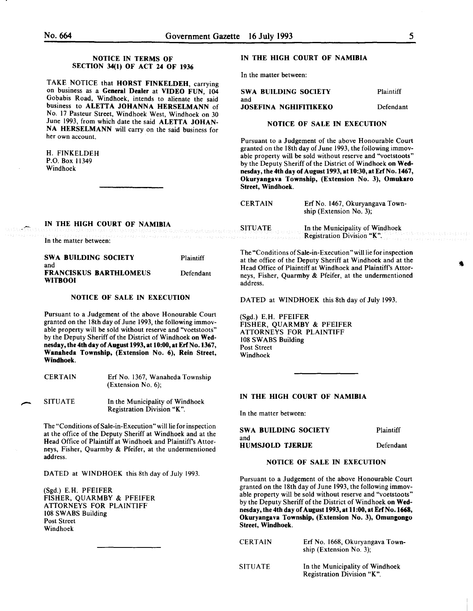# NOTICE IN TERMS OF SECTION 34(1) OF ACT 24 OF 1936

TAKE NOTICE that HORST FINKELDEH, carrying on business as a General Dealer at VIDEO FUN, 104 Gobabis Road, Windhoek, intends to alienate the said business to ALETTA JOHANNA HERSELMANN of No. 17 Pasteur Street, Windhoek West, Windhoek on 30 June 1993, from which date the said ALETTA JOHAN-NA HERSELMANN will carry on the said business for her own account.

H. FINKELDEH P.O. Box 11349 Windhoek

# IN THE HIGH COURT OF NAMIBIA

In the matter between:

| <b>SWA BUILDING SOCIETY</b><br>and | Plaintiff |
|------------------------------------|-----------|
| <b>JOSEFINA NGHIFITIKEKO</b>       | Defendant |
| NOTICE OF SALE IN EXECUTION        |           |

Pursuant to a Judgement of the above Honourable Court granted on the 18th day of June 1993, the following immovable property will be sold without reserve and "voetstoots" by the Deputy Sheriff of the District of Windhoek on Wednesday, the 4th day of August 1993, at 10:30, at Erf No. 1467, Okuryangava Township, (Extension No. 3), Omukaro Street, Windhoek.

| <b>CERTAIN</b> | Erf No. 1467, Okuryangava Town-<br>ship (Extension No. 3);            |
|----------------|-----------------------------------------------------------------------|
|                | SITUATE In the Municipality of the SITUATE Registration Division "K". |

IN THE HIGH COURT OF NAMIBIA

In the matter between: SWA BUILDING SOCIETY Plaintiff

| and     |                        |           |
|---------|------------------------|-----------|
| WITBOOI | FRANCISKUS BARTHLOMEUS | Defendant |

# NOTICE OF SALE IN EXECUTION

Pursuant to a Judgement of the above Honourable Court granted on the 18th day of June 1993, the following immovable property will be sold without reserve and "voetstoots" by the Deputy Sheriff of the District of Windhoek on Wednesday, the 4th day of August 1993, at 10:00, at Erf No. 1367, Wanaheda Township, (Extension No. 6), Rein Street, Windhoek.

| <b>CERTAIN</b> | Erf No. 1367, Wanaheda Township<br>(Extension No. 6); |
|----------------|-------------------------------------------------------|
| <b>SITUATE</b> | In the Municipality of Windhoek                       |

Registration Division "K".

The "Conditions of Sale-in-Execution" will lie for inspection at the office of the Deputy Sheriff at Windhoek and at the Head Office of Plaintiff at Windhoek and Plaintiff's Attorneys, Fisher, Quarmby & Pfeifer, at the undermentioned address.

DATED at WINDHOEK this 8th day of July 1993.

(Sgd.) E.H. PFEIFER FISHER, QUARMBY & PFEIFER ATTORNEYS FOR PLAINTIFF 108 SWABS Building Post Street Windhoek

The "Conditions of Sale-in-Execution" will lie for inspection at the office of the Deputy Sheriff at Windhoek and at the Head Office of Plaintiff at Windhoek and Plaintiff's Attorneys, Fisher, Quarmby & Pfeifer, at the undermentioned address.

DATED at WINDHOEK this 8th day of July 1993.

(Sgd.) E.H. PFEIFER FISHER, QUARMBY & PFEIFER ATTORNEYS FOR PLAINTIFF 108 SWABS Building Post Street Windhoek

# IN THE HIGH COURT OF NAMIBIA

In the matter between:

| SWA BUILDING SOCIETY | Plaintiff |
|----------------------|-----------|
| and                  |           |
| HUMSJOLD TJERIJE     | Defendant |

# NOTICE OF SALE IN EXECUTION

Pursuant to a Judgement of the above Honourable Court granted on the 18th day of June 1993, the following immovable property will be sold without reserve and "voetstoots" by the Deputy Sheriff of the District of Windhoek on Wednesday, the 4th day of August 1993, at 11:00, at Erf No. 1668, Okuryangava Township, (Extension No. 3), Omungongo Street, Windhoek.

| <b>CERTAIN</b> | Erf No. 1668, Okuryangava Town-<br>ship (Extension No. 3);    |
|----------------|---------------------------------------------------------------|
| <b>SITUATE</b> | In the Municipality of Windhoek<br>Registration Division "K". |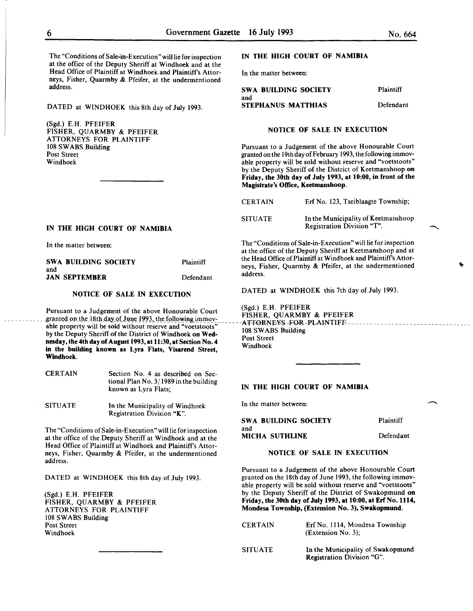The "Conditions of Sale-in-Execution" will lie for inspection at the office of the Deputy Sheriff at Windhoek and at the Head Office of Plaintiff at Windhoek and Plaintiff's Attorneys, Fisher, Quarmby & Pfeifer, at the undermentioned address.

DATED at WINDHOEK this 8th day of July 1993.

(Sgd.) E.H. PFEIFER FISHER, QUARMBY & PFEIFER ATTORNEYS FOR PLAINTIFF 108 SWABS Building Post Street Windhoek

#### IN THE HIGH COURT OF NAMIBIA

In the matter between:

| SWA BUILDING SOCIETY | <b>Plaintiff</b> |
|----------------------|------------------|
| and                  |                  |
| <b>JAN SEPTEMBER</b> | Defendant        |

# NOTICE OF SALE IN EXECUTION

Pursuant to a Judgement of the above Honourable Court (Sgd.) E.H. PFEIFER<br>granted on the 19th day of June 1993, the following immer: FISHER, QUARMBY & PFEIFER granted on the 18th day of June 1993, the following immov-<br>able property will be sold without recente and "westeroste" able property will be sold without reserve and "voetstoots"<br>hy the Denuty Sheriff of the District of Windheels on W.J. [108 SWABS Building by the Deputy Sheriff of the District of Windhoek on Wed- $\frac{108.5 \text{ WAB}}{108.5 \text{ WAB}}$ nesday, the 4th day of August 1993, at  $11:30$ , at Section No. 4  $\frac{1}{2}$  Windhoek in the building known as Lyra Flats, Visarend Street, Windhoek.

- **CERTAIN** Section No. 4 as described on Sectional Plan No.  $3/1989$  in the building known as Lyra Flats;
- SITUATE In the Municipality of Windhoek Registration Division "K".

The "Conditions of Sale-in-Execution" will lie for inspection at the office of the Deputy Sheriff at Windhoek and at the Head Office of Plaintiff at Windhoek and Plaintiff's Attorneys, Fisher, Quarmby & Pfeifer, at the undermentioned address.

DATED at WINDHOEK this 8th day of July 1993.

(Sgd.) E.H. PFEIFER FISHER, QUARMBY & PFEIFER ATTORNEYS FOR PLAINTIFF 108 SWABS Building Post Street Windhoek

# IN THE HIGH COURT OF NAMIBIA

In the matter between:

| SWA BUILDING SOCIETY | <b>Plaintiff</b> |
|----------------------|------------------|
| and                  |                  |
| STEPHANUS MATTHIAS   | Defendant        |

#### NOTICE OF SALE IN EXECUTION

Pursuant to a Judgement of the above Honourable Court granted on the 19th day of February 1993, the following immovable property will be sold without reserve and "voetstoots" by the Deputy Sheriff of the District of Keetmanshoop on Friday, the 30th day of July 1993, at 10:00, in front of the Magistrate's Office, Keetmanshoop.

| <b>CERTAIN</b> | Erf No. 123. Tseiblaagte Township:                                |
|----------------|-------------------------------------------------------------------|
| <b>SITUATE</b> | In the Municipality of Keetmanshoop<br>Registration Division "T". |

The "Conditions of Sale-in-Execution" will lie for inspection at the office of the Deputy Sheriff at Keetmanshoop and at the Head Office of Plaintiff at Windhoek and Plaintiff's Attorneys, Fisher, Quarmby & Pfeifer, at the undermentioned address.

DATED at WINDHOEK this 7th day of July 1993.

#### IN THE HIGH COURT OF NAMIBIA

In the matter between:

| <b>SWA BUILDING SOCIETY</b> | Plaintiff |
|-----------------------------|-----------|
| and                         | Defendant |
| MICHA SUTHLINE              |           |

# NOTICE OF SALE IN EXECUTION

Pursuant to a Judgement of the above Honourable Court granted on the 18th day of June 1993, the following immovable property will be sold without reserve and "voetstoots" by the Deputy Sheriff of the District of Swakopmund on Friday, the 30th day of July 1993, at 10:00, at Erf No. 1114, Mondesa Township, (Extension No. 3), Swakopmund.

| <b>CERTAIN</b> | Erf No. 1114, Mondesa Township<br>(Extension No. 3):            |
|----------------|-----------------------------------------------------------------|
| <b>SITUATE</b> | In the Municipality of Swakopmund<br>Registration Division "G". |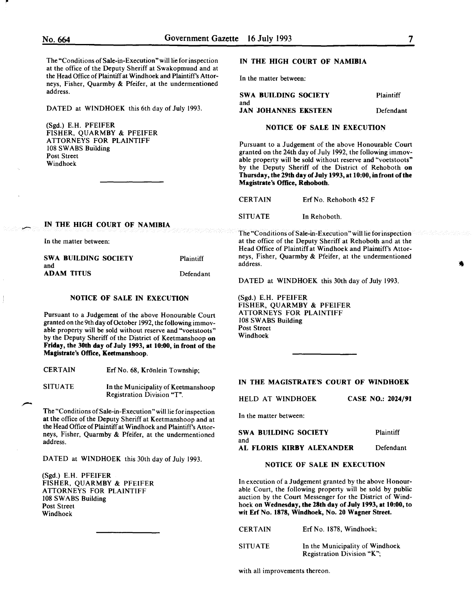-

--

The "Conditions of Sale-in-Execution" will lie for inspection at the office of the Deputy Sheriff at Swakopmund and at the Head Office of Plaintiff at Windhoek and Plaintiffs Attorneys, Fisher, Quarmby & Pfeifer, at the underment address.

DATED at WINDHOEK this 6th day of July 19

(Sgd.) E.H. PFEIFER FISHER, QUARMBY & PFEIFER ATTORNEYS FOR PLAINTIFF 108 SWABS Building Post Street Windhoek

# IN THE HIGH COURT OF NAMIBIA

In the matter between:

| dermentioned                                                                      |                                                                                        |                                                                                                                                                                                                                                                                                                              |                  |
|-----------------------------------------------------------------------------------|----------------------------------------------------------------------------------------|--------------------------------------------------------------------------------------------------------------------------------------------------------------------------------------------------------------------------------------------------------------------------------------------------------------|------------------|
|                                                                                   | <b>SWA BUILDING SOCIETY</b>                                                            |                                                                                                                                                                                                                                                                                                              | <b>Plaintiff</b> |
| ily 1993.                                                                         | and<br><b>JAN JOHANNES EKSTEEN</b>                                                     |                                                                                                                                                                                                                                                                                                              | Defendant        |
|                                                                                   |                                                                                        | <b>NOTICE OF SALE IN EXECUTION</b>                                                                                                                                                                                                                                                                           |                  |
|                                                                                   | Magistrate's Office, Rehoboth.                                                         | Pursuant to a Judgement of the above Honourable Court<br>granted on the 24th day of July 1992, the following immov-<br>able property will be sold without reserve and "voetstoots"<br>by the Deputy Sheriff of the District of Rehoboth on<br>Thursday, the 29th day of July 1993, at 10:00, in front of the |                  |
|                                                                                   | <b>CERTAIN</b>                                                                         | Erf No. Rehoboth 452 F                                                                                                                                                                                                                                                                                       |                  |
|                                                                                   | <b>SITUATE</b>                                                                         | In Rehoboth.                                                                                                                                                                                                                                                                                                 |                  |
|                                                                                   |                                                                                        | The "Conditions of Sale-in-Execution" will lie for inspection<br>at the office of the Deputy Sheriff at Rehoboth and at the<br>Head Office of Plaintiff at Windhoek and Plaintiff's Attor-                                                                                                                   |                  |
| Plaintiff                                                                         | neys, Fisher, Quarmby & Pfeifer, at the undermentioned<br>address.                     |                                                                                                                                                                                                                                                                                                              |                  |
| Defendant                                                                         |                                                                                        | DATED at WINDHOEK this 30th day of July 1993.                                                                                                                                                                                                                                                                |                  |
| ON                                                                                | $(Sgd.)$ E.H. PFEIFER<br>FISHER, QUARMBY & PFEIFER                                     |                                                                                                                                                                                                                                                                                                              |                  |
| urable Court<br>wing immov-<br>"voetstoots"<br>aanshoop <b>on</b><br>front of the | <b>ATTORNEYS FOR PLAINTIFF</b><br>108 SWABS Building<br><b>Post Street</b><br>Windhoek |                                                                                                                                                                                                                                                                                                              |                  |
|                                                                                   |                                                                                        |                                                                                                                                                                                                                                                                                                              |                  |

and ADAM TITUS

IN THE HIGH COURT OF NAMIBIA

In the matter between:

SWA BUILDING SOCIETY

Defe

# NOTICE OF SALE IN EXECUTION

Pursuant to a Judgement of the above Honourable granted on the 9th day of October 1992, the following able property will be sold without reserve and "voet by the Deputy Sheriff of the District of Keetmansh Friday, the 30th day of July 1993, at 10:00, in fron Magistrate's Office, Keetmanshoop.

CERTAIN Erf No. 68, Krönlein Township;

SITUATE In the Municipality of Keetmanshoop Registration Division "T".

The "Conditions of Sale-in-Execution" will lie for inspection at the office of the Deputy Sheriff at Keetmanshoop and at the Head Office of Plaintiff at Windhoek and Plaintiffs Attorneys, Fisher, Quarmby & Pfeifer, at the undermentioned address.

DATED at WINDHOEK this 30th day of July 1993.

(Sgd.) E.H. PFEIFER FISHER, QUARMBY & PFEIFER ATTORNEYS FOR PLAINTIFF 108 SWABS Building Post Street Windhoek

#### IN THE MAGISTRATE'S COURT OF WINDHOEK

HELD AT WINDHOEK

CASE NO.: 2024/91

In the matter between:

| <b>SWA BUILDING SOCIETY</b>      | Plaintiff |
|----------------------------------|-----------|
| and<br>AL FLORIS KIRBY ALEXANDER | Defendant |

# NOTICE OF SALE IN EXECUTION

In execution of a Judgement granted by the above Honourable Court, the following property will be sold by public auction by the Court Messenger for the District of Windhoek on Wednesday, the 28th day of July 1993, at 10:00, to wit Erf No. 1878, Windhoek, No. 20 Wagner Street.

| <b>CERTAIN</b> | Erf No. 1878, Windhoek;                                       |
|----------------|---------------------------------------------------------------|
| <b>SITUATE</b> | In the Municipality of Windhoek<br>Registration Division "K": |

with all improvements thereon.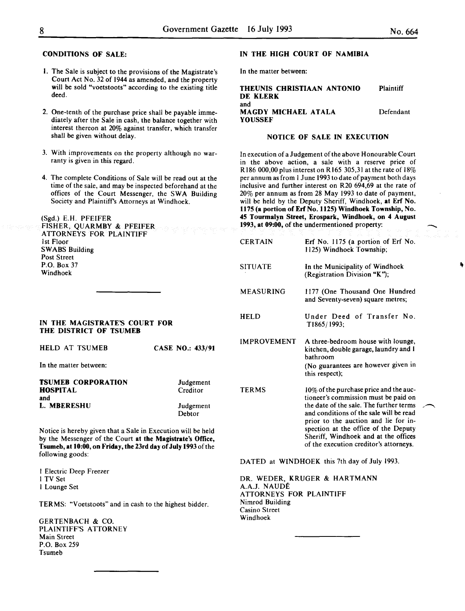# CONDITIONS OF SALE:

- I. The Sale is subject to the provisions of the Magistrate's Court Act No. 32 of 1944 as amended, and the property will be sold "voetstoots" according to the existing title deed.
- 2. One-tenth of the purchase price shall be payable immediately after the Sale in cash, the balance together with interest thereon at 20% against transfer, which transfer shall be given without delay.
- 3. With improvements on the property although no warranty is given in this regard.
- 4. The complete Conditions of Sale will be read out at the time of the sale, and may be inspected beforehand at the offices of the Court Messenger, the SWA Building Society and Plaintiff's Attorneys at Windhoek.

(Sgd.) E.H. PFEIFER

FISHER, QUARMBY & PFEIFER ATTORNEYS FOR PLAINTIFF 1st Floor SWABS Building Post Street P.O. Box 37 Windhoek

# IN THE MAGISTRATE'S COURT FOR THE DISTRICT OF TSUMEB

|  | HELD AT TSUMEB |  | CASE NO.: 433/91 |
|--|----------------|--|------------------|
|  |                |  |                  |

In the matter between:

| <b>TSUMEB CORPORATION</b> | Judgement |
|---------------------------|-----------|
| HOSPITAL                  | Creditor  |
| and                       |           |
| L. MBERESHU               | Judgement |
|                           | Debtor    |

Notice is hereby given that a Sale in Execution will be held by the Messenger of the Court at the Magistrate's Office, Tsumeb, at 10:00,on Friday, the23rd day of July 1993 of the following goods:

I Electric Deep Freezer I TV Set I Lounge Set

TERMS: "Voetstoots" and in cash to the highest bidder.

GERTENBACH & CO. PLAINTIFF'S ATTORNEY Main Street P.O. Box 259 Tsumeb

# IN THE HIGH COURT OF NAMIBIA

In the matter between:

THEUNIS CHRISTIAAN ANTONIO DE KLERK Plaintiff and MAGDY MICHAEL ATALA **YOUSSEF** Defendant

# NOTICE OF SALE IN EXECUTION

In execution of a Judgement of the above Honourable Court in the above action, a sale with a reserve price of R 186 000,00 plus interest on R 165 305,31 at the rate of  $18\%$ per annum as from I June 1993 to date of payment both days inclusive and further interest on R20 694,69 at the rate of 20% per annum as from 28 May 1993 to date of payment, will be held by the Deputy Sheriff, Windhoek, at Erf No. 1175 (a portion of Erf No. 1125) Windhoek Township, No. 45 Tourmalyn Street, Erospark, Windhoek, on 4 August 1993, at 09:00, of the undermentioned property:

| <b>CERTAIN</b>     | Erf No. 1175 (a portion of Erf No.<br>1125) Windhoek Township;                                                                                                                                                                                                                                                                         |
|--------------------|----------------------------------------------------------------------------------------------------------------------------------------------------------------------------------------------------------------------------------------------------------------------------------------------------------------------------------------|
| <b>SITUATE</b>     | In the Municipality of Windhoek<br>(Registration Division "K");                                                                                                                                                                                                                                                                        |
| <b>MEASURING</b>   | 1177 (One Thousand One Hundred<br>and Seventy-seven) square metres;                                                                                                                                                                                                                                                                    |
| <b>HELD</b>        | Under Deed of Transfer No.<br>T1865/1993;                                                                                                                                                                                                                                                                                              |
| <b>IMPROVEMENT</b> | A three-bedroom house with lounge,<br>kitchen, double garage, laundry and 1<br>hathroom<br>(No guarantees are however given in<br>this respect);                                                                                                                                                                                       |
| TERMS              | 10% of the purchase price and the auc-<br>tioneer's commission must be paid on<br>the date of the sale. The further terms<br>and conditions of the sale will be read<br>prior to the auction and lie for in-<br>spection at the office of the Deputy<br>Sheriff, Windhoek and at the offices<br>of the execution creditor's attorneys. |

DATED at WINDHOEK this 7th day of July 1993.

DR. WEDER, KRUGER & HARTMANN A.A.J. NAUDE ATTORNEYS FOR PLAINTIFF Nimrod Building Casino Street Windhoek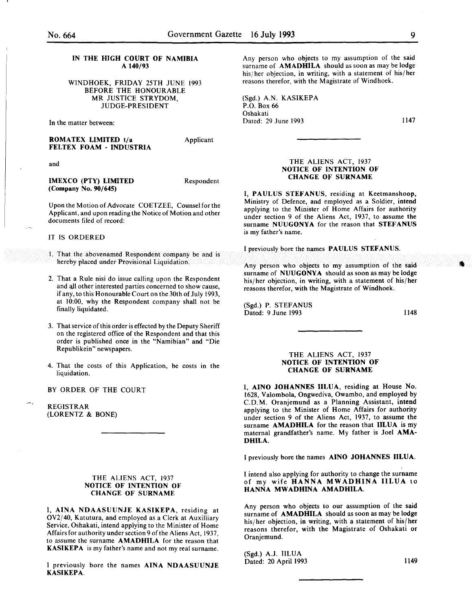# IN THE HIGH COURT OF NAMIBIA A 140/93

WINDHOEK, FRIDAY 25TH JUNE 1993 BEFORE THE HONOURABLE MR JUSTICE STRYDOM JUDGE-PRESIDENT

In the matter between:

ROMATEX LIMITED t/a FELTEX FOAM- INDUSTRIA Applicant

and

IMEXCO (PTY) LIMITED (Company No. 90/645)

Respondent

Upon the Motion of Advocate COETZEE, Counsel for the Applicant, and upon reading the Notice of Motion and other documents filed of record:

# IT IS ORDERED

- 1. That the abovenamed Respondent company be and is hereby placed under Provisional Liquidation.
- 2. That a Rule nisi do issue calling upon the Respondent and all other interested parties concerned to show cause, if any, to this Honourable Court on the 30th of July 1993: at 10:00, why the Respondent company shall not be finally liquidated.
- 3. That service of this order is effected by the Deputy Sheriff on the registered office of the Respondent and that this order is published once in the "Namibian" and "Die Republikein" newspapers.
- 4. That the costs of this Application, be costs in the liquidation.

BY ORDER OF THE COURT

REGISTRAR (LORENTZ & BONE)

### THE ALIENS ACT, 1937 NOTICE OF INTENTION OF CHANGE OF SURNAME

I, AINA NDAASUUNJE KASIKEPA, residing at  $OV2/40$ , Katutura, and employed as a Clerk at Auxilliary Service, Oshakati, intend applying to the Minister of Home Affairs for authority under section 9 of the Aliens Act, 1937, to assume the surname AMADHILA for the reason that KASIKEPA is my father's name and not my real surname.

I previously bore the names AINA NDAASUUNJE KASIKEPA.

Any person who objects to my assumption of the said surname of **AMADHILA** should as soon as may be lodge his/her objection, in writing, with a statement of his/her reasons therefor, with the Magistrate of Windhoek.

(Sgd.) A.N. KASIKEPA P.O. Box 66 Oshakati Dated: 29 June 1993

1147

# THE ALIENS ACT, 1937 NOTICE OF INTENTION OF CHANGE OF SURNAME

I, PAULUS STEFANUS, residing at Keetmanshoop, Ministry of Defence, and employed as a Soldier, intend applying to the Minister of Home Affairs for authority under section 9 of the Aliens Act, 1937, to assume the surname NUUGONYA for the reason that STEFANUS is my father's name.

I previously bore the names PAULUS STEFANUS.

Any person who objects to my assumption of the said surname of NUUGONYA should as soon as may be lodge his/her objection, in writing, with a statement of his/her reasons therefor, with the Magistrate of Windhoek.

(Sgd.) P. STEFANUS Dated: 9 June 1993

1148

### THE ALIENS ACT, 1937 NOTICE OF INTENTION OF CHANGE OF SURNAME

I, AINO JOHANNES IILUA, residing at House No. 1628, Valombola, Ongwediva, Owambo, and employed by C.D.M. Oranjemund as a Planning Assistant, intend applying to the Minister of Home Affairs for authority under section 9 of the Aliens Act, 1937, to assume the surname AMADHILA for the reason that IILUA is my maternal grandfather's name. My father is Joel AMA-DHILA.

I previously bore the names AINO JOHANNES IILUA.

I intend also applying for authority to change the surname of my wife HANNA MWADHINA IILUA to HANNA MWADHINA AMADHILA.

Any person who objects to our assumption of the said surname of AMADHILA should as soon as may be lodge his/her objection, in writing, with a statement of his/her reasons therefor, with the Magistrate of Oshakati or Oranjemund.

(Sgd.) A.J. IILUA Dated: 20 April 1993 1149